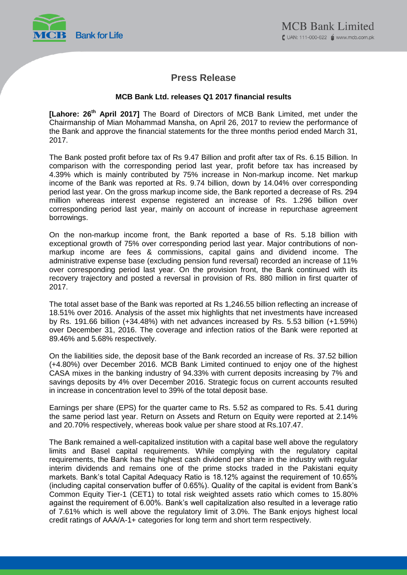

# **Press Release**

## **MCB Bank Ltd. releases Q1 2017 financial results**

**[Lahore: 26th April 2017]** The Board of Directors of MCB Bank Limited, met under the Chairmanship of Mian Mohammad Mansha, on April 26, 2017 to review the performance of the Bank and approve the financial statements for the three months period ended March 31, 2017.

The Bank posted profit before tax of Rs 9.47 Billion and profit after tax of Rs. 6.15 Billion. In comparison with the corresponding period last year, profit before tax has increased by 4.39% which is mainly contributed by 75% increase in Non-markup income. Net markup income of the Bank was reported at Rs. 9.74 billion, down by 14.04% over corresponding period last year. On the gross markup income side, the Bank reported a decrease of Rs. 294 million whereas interest expense registered an increase of Rs. 1.296 billion over corresponding period last year, mainly on account of increase in repurchase agreement borrowings.

On the non-markup income front, the Bank reported a base of Rs. 5.18 billion with exceptional growth of 75% over corresponding period last year. Major contributions of nonmarkup income are fees & commissions, capital gains and dividend income. The administrative expense base (excluding pension fund reversal) recorded an increase of 11% over corresponding period last year. On the provision front, the Bank continued with its recovery trajectory and posted a reversal in provision of Rs. 880 million in first quarter of 2017.

The total asset base of the Bank was reported at Rs 1,246.55 billion reflecting an increase of 18.51% over 2016. Analysis of the asset mix highlights that net investments have increased by Rs. 191.66 billion (+34.48%) with net advances increased by Rs. 5.53 billion (+1.59%) over December 31, 2016. The coverage and infection ratios of the Bank were reported at 89.46% and 5.68% respectively.

On the liabilities side, the deposit base of the Bank recorded an increase of Rs. 37.52 billion (+4.80%) over December 2016. MCB Bank Limited continued to enjoy one of the highest CASA mixes in the banking industry of 94.33% with current deposits increasing by 7% and savings deposits by 4% over December 2016. Strategic focus on current accounts resulted in increase in concentration level to 39% of the total deposit base.

Earnings per share (EPS) for the quarter came to Rs. 5.52 as compared to Rs. 5.41 during the same period last year. Return on Assets and Return on Equity were reported at 2.14% and 20.70% respectively, whereas book value per share stood at Rs.107.47.

The Bank remained a well-capitalized institution with a capital base well above the regulatory limits and Basel capital requirements. While complying with the regulatory capital requirements, the Bank has the highest cash dividend per share in the industry with regular interim dividends and remains one of the prime stocks traded in the Pakistani equity markets. Bank's total Capital Adequacy Ratio is 18.12% against the requirement of 10.65% (including capital conservation buffer of 0.65%). Quality of the capital is evident from Bank's Common Equity Tier-1 (CET1) to total risk weighted assets ratio which comes to 15.80% against the requirement of 6.00%. Bank's well capitalization also resulted in a leverage ratio of 7.61% which is well above the regulatory limit of 3.0%. The Bank enjoys highest local credit ratings of AAA/A-1+ categories for long term and short term respectively.